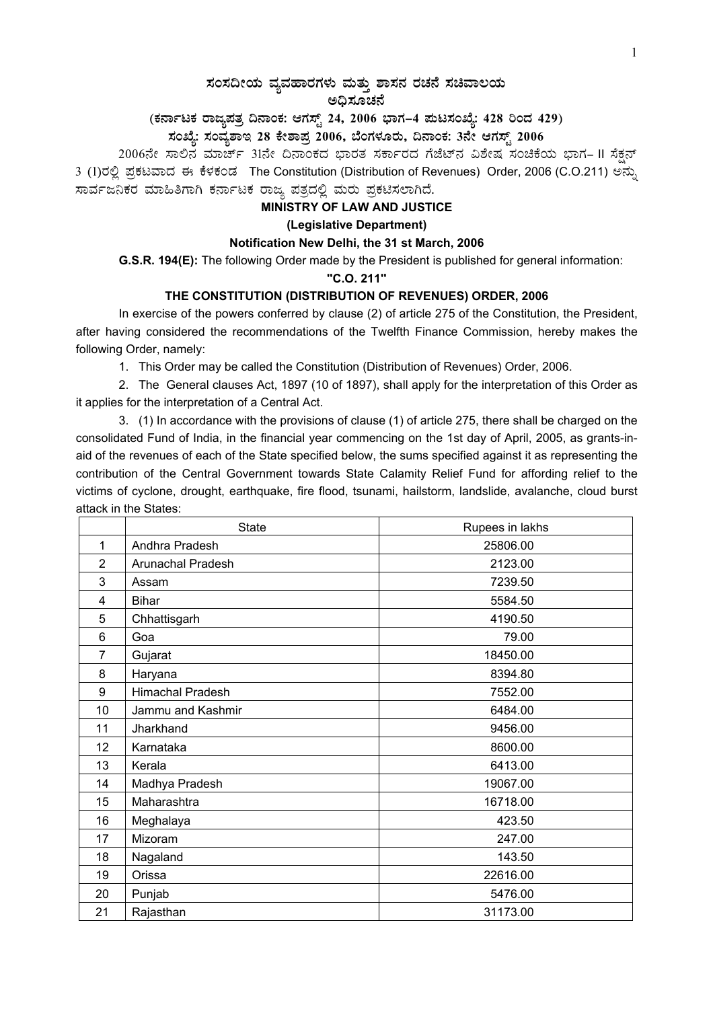# $\,$ ಸಂಸದೀಯ ವ್ಯವಹಾರಗಳು ಮತ್ತು ಶಾಸನ ರಚನೆ ಸಚಿವಾಲಯ

#### ಅಧಿಸೂಚನೆ

# (ಕರ್ನಾಟಕ ರಾಜ್ಯಪತ್ರ ದಿನಾಂಕ: ಆಗಸ್ಟ್ 24, 2006 ಭಾಗ–4 **ಮಟಸಂಖ್ಯೆ: 428 ರಿಂದ 429**)

# **¸ÀASÉå: ¸ÀAªÀå±ÁE 28 PÉñÁ¥Àæ 2006, ¨ÉAUÀ¼ÀÆgÀÄ, ¢£ÁAPÀ: 3£Éà DUÀ¸ïÖ 2006**

2006ನೇ ಸಾಲಿನ ಮಾರ್ಚ್ 31ನೇ ದಿನಾಂಕದ ಭಾರತ ಸರ್ಕಾರದ ಗೆಜೆಟ್ನ ವಿಶೇಷ ಸಂಚಿಕೆಯ ಭಾಗ– II ಸೆಕ್ಷನ್ 3 (1)ರಲ್ಲಿ ಪ್ರಕಟವಾದ ಈ ಕೆಳಕಂಡ The Constitution (Distribution of Revenues) Order, 2006 (C.O.211) ಅನ್ಸು ಸಾರ್ವಜನಿಕರ ಮಾಹಿತಿಗಾಗಿ ಕರ್ನಾಟಕ ರಾಜ್ಯ ಪತ್ರದಲ್ಲಿ ಮರು ಪ್ರಕಟಿಸಲಾಗಿದೆ.

## **MINISTRY OF LAW AND JUSTICE**

#### **(Legislative Department)**

#### **Notification New Delhi, the 31 st March, 2006**

 **G.S.R. 194(E):** The following Order made by the President is published for general information:

#### **''C.O. 211''**

### **THE CONSTITUTION (DISTRIBUTION OF REVENUES) ORDER, 2006**

In exercise of the powers conferred by clause (2) of article 275 of the Constitution, the President, after having considered the recommendations of the Twelfth Finance Commission, hereby makes the following Order, namely:

1. This Order may be called the Constitution (Distribution of Revenues) Order, 2006.

2. The General clauses Act, 1897 (10 of 1897), shall apply for the interpretation of this Order as it applies for the interpretation of a Central Act.

3. (1) In accordance with the provisions of clause (1) of article 275, there shall be charged on the consolidated Fund of India, in the financial year commencing on the 1st day of April, 2005, as grants-inaid of the revenues of each of the State specified below, the sums specified against it as representing the contribution of the Central Government towards State Calamity Relief Fund for affording relief to the victims of cyclone, drought, earthquake, fire flood, tsunami, hailstorm, landslide, avalanche, cloud burst attack in the States:

|                | <b>State</b>      | Rupees in lakhs |
|----------------|-------------------|-----------------|
| 1              | Andhra Pradesh    | 25806.00        |
| $\overline{2}$ | Arunachal Pradesh | 2123.00         |
| 3              | Assam             | 7239.50         |
| 4              | <b>Bihar</b>      | 5584.50         |
| 5              | Chhattisgarh      | 4190.50         |
| 6              | Goa               | 79.00           |
| $\overline{7}$ | Gujarat           | 18450.00        |
| 8              | Haryana           | 8394.80         |
| 9              | Himachal Pradesh  | 7552.00         |
| 10             | Jammu and Kashmir | 6484.00         |
| 11             | Jharkhand         | 9456.00         |
| 12             | Karnataka         | 8600.00         |
| 13             | Kerala            | 6413.00         |
| 14             | Madhya Pradesh    | 19067.00        |
| 15             | Maharashtra       | 16718.00        |
| 16             | Meghalaya         | 423.50          |
| 17             | Mizoram           | 247.00          |
| 18             | Nagaland          | 143.50          |
| 19             | Orissa            | 22616.00        |
| 20             | Punjab            | 5476.00         |
| 21             | Rajasthan         | 31173.00        |